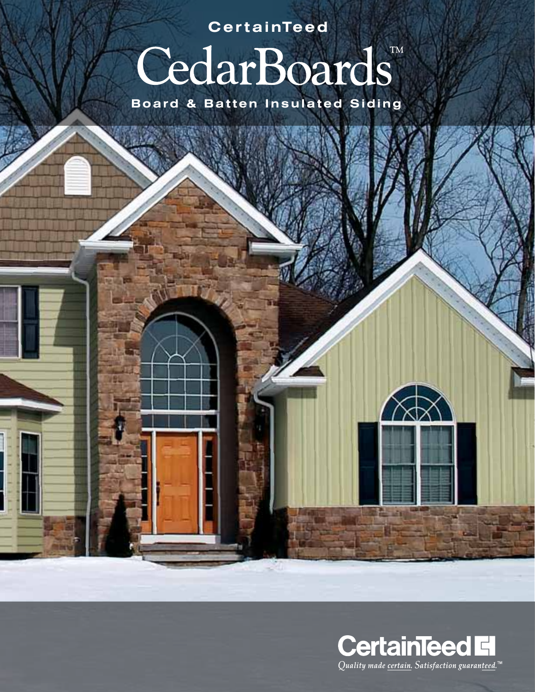**CertainTeed** 

# CedarBoards

**Board & Batten Insulated Siding** 



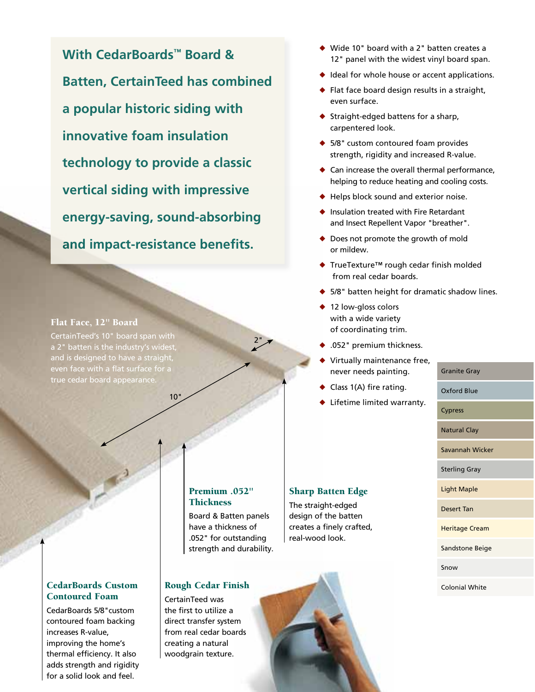**With CedarBoards™ Board & Batten, CertainTeed has combined a popular historic siding with innovative foam insulation technology to provide a classic vertical siding with impressive energy-saving, sound-absorbing and impact-resistance benefits.**

10"

#### Flat Face, 12" Board

CertainTeed's 10" board span with a 2" batten is the industry's widest, and is designed to have a straight, even face with a flat surface for a true cedar board appearance.

#### Premium .052" **Thickness**

Board & Batten panels have a thickness of .052" for outstanding strength and durability.

 $2"$ 

#### Rough Cedar Finish

CertainTeed was the first to utilize a direct transfer system from real cedar boards creating a natural woodgrain texture.

- $\blacklozenge$  Wide 10" board with a 2" batten creates a 12" panel with the widest vinyl board span.
- $\triangle$  Ideal for whole house or accent applications.
- $\blacklozenge$  Flat face board design results in a straight, even surface.
- $\triangleleft$  Straight-edged battens for a sharp, carpentered look.
- $\triangle$  5/8" custom contoured foam provides strength, rigidity and increased R-value.
- $\triangle$  Can increase the overall thermal performance, helping to reduce heating and cooling costs.
- $\triangle$  Helps block sound and exterior noise.
- $\blacklozenge$  Insulation treated with Fire Retardant and Insect Repellent Vapor "breather".
- $\blacklozenge$  Does not promote the growth of mold or mildew.
- ◆ TrueTexture™ rough cedar finish molded from real cedar boards.
- $\triangle$  5/8" batten height for dramatic shadow lines.
- $\triangleleft$  12 low-gloss colors with a wide variety of coordinating trim.
- $\bullet$  .052" premium thickness.
- Virtually maintenance free, never needs painting.
- $\bullet$  Class 1(A) fire rating.

Sharp Batten Edge The straight-edged design of the batten creates a finely crafted, real-wood look.

 $\blacklozenge$  Lifetime limited warranty.

## Cypress Natural Clay Savannah Wicker Sterling Gray Light Maple Desert Tan Heritage Cream Sandstone Beige Snow Colonial White

Granite Gray

Oxford Blue

#### CedarBoards Custom Contoured Foam

CedarBoards 5/8"custom contoured foam backing increases R-value, improving the home's thermal efficiency. It also adds strength and rigidity for a solid look and feel.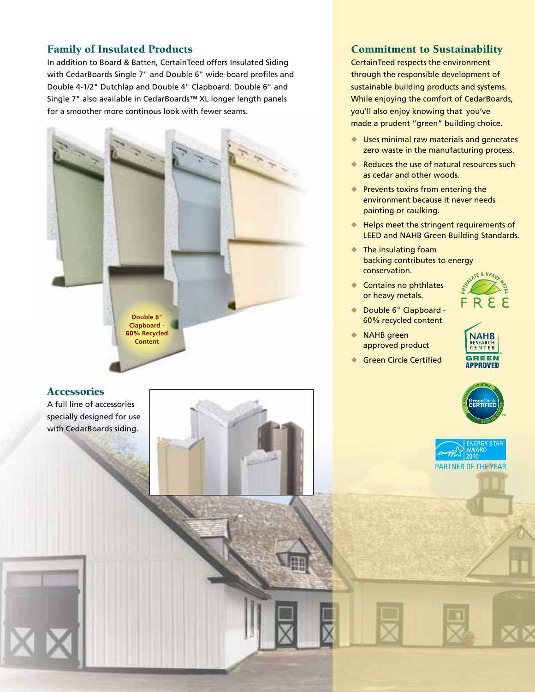#### Family of Insulated Products

In addition to Board & Batten, CertainTeed offers Insulated Siding with CedarBoards Single 7" and Double 6" wide-board profiles and Double 4-1/2" Dutchlap and Double 4" Clapboard. Double 6" and Single 7" also available in CedarBoards™ XL longer length panels for a smoother more continous look with fewer seams.



#### **Accessories**

A full line of accessories specially designed for use with CedarBoards siding.



#### Commitment to Sustainability

CertainTeed respects the environment through the responsible development of sustainable building products and systems. While enjoying the comfort of CedarBoards, you'll also enjoy knowing that you've made a prudent "green" building choice.

- $\blacklozenge$  Uses minimal raw materials and generates zero waste in the manufacturing process.
- Reduces the use of natural resources such as cedar and other woods.
- $\blacklozenge$  Prevents toxins from entering the environment because it never needs painting or caulking.
- $\blacklozenge$  Helps meet the stringent requirements of LEED and NAHB Green Building Standards.
- $\blacktriangleright$  The insulating foam backing contributes to energy conservation.
- $\bullet$  Contains no phthlates or heavy metals.
- ◆ Double 6" Clapboard -60% recycled content
- $\blacklozenge$  NAHB green approved product
- **Green Circle Certified**







**PARTNER OF THE YEAR**